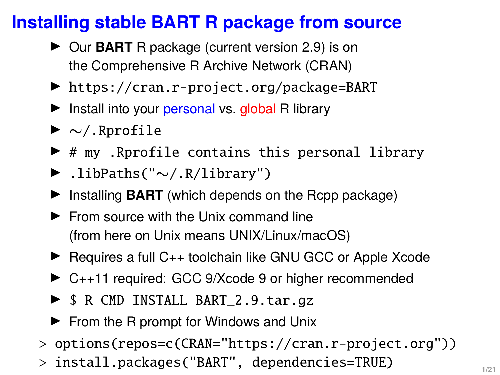## **Installing stable BART R package from source**

- ▶ Our **BART** R package (current version 2.9) is on the Comprehensive R Archive Network (CRAN)
- ▶ <https://cran.r-project.org/package=BART>
- $\blacktriangleright$  Install into your personal vs. global R library
- $\blacktriangleright \sim/$ . Rprofile
- $\blacktriangleright$  # my .Rprofile contains this personal library
- I .libPaths("∼/.R/library")
- Installing **BART** (which depends on the Rcpp package)
- $\blacktriangleright$  From source with the Unix command line (from here on Unix means UNIX/Linux/macOS)
- $\blacktriangleright$  Requires a full C++ toolchain like GNU GCC or Apple Xcode
- $\triangleright$  C++11 required: GCC 9/Xcode 9 or higher recommended
- $\triangleright$  \$ R CMD INSTALL BART\_2.9.tar.gz
- $\blacktriangleright$  From the R prompt for Windows and Unix
- > options(repos=c(CRAN="https://cran.r-project.org"))
- > install.packages("BART", dependencies=TRUE)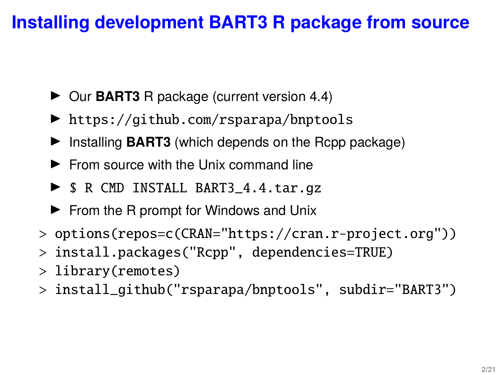## **Installing development BART3 R package from source**

- ▶ Our BART3 R package (current version 4.4)
- $\blacktriangleright$  <https://github.com/rsparapa/bnptools>
- Installing **BART3** (which depends on the Rcpp package)
- $\blacktriangleright$  From source with the Unix command line
- $\triangleright$  \$ R CMD INSTALL BART3\_4.4.tar.gz
- $\blacktriangleright$  From the R prompt for Windows and Unix
- > options(repos=c(CRAN="https://cran.r-project.org"))
- > install.packages("Rcpp", dependencies=TRUE)
- > library(remotes)
- > install\_github("rsparapa/bnptools", subdir="BART3")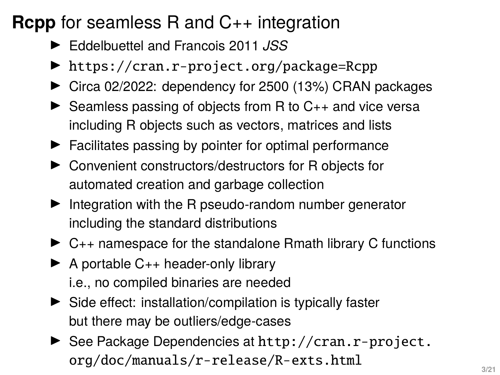# **Rcpp** for seamless R and C++ integration

- I [Eddelbuettel and Francois 2011](https://doi.org/10.18637/jss.v040.i08) *JSS*
- $\blacktriangleright$  <https://cran.r-project.org/package=Rcpp>
- $\triangleright$  Circa 02/2022: dependency for 2500 (13%) CRAN packages
- $\blacktriangleright$  Seamless passing of objects from R to C<sub>++</sub> and vice versa including R objects such as vectors, matrices and lists
- $\blacktriangleright$  Facilitates passing by pointer for optimal performance
- $\triangleright$  Convenient constructors/destructors for R objects for automated creation and garbage collection
- $\blacktriangleright$  Integration with the R pseudo-random number generator including the standard distributions
- $\triangleright$  C<sub>++</sub> namespace for the standalone Rmath library C functions
- $\blacktriangleright$  A portable C++ header-only library i.e., no compiled binaries are needed
- $\triangleright$  Side effect: installation/compilation is typically faster but there may be outliers/edge-cases
- $\triangleright$  See Package Dependencies at [http://cran.r-project.](http://cran.r-project.org/doc/manuals/r-release/R-exts.html) [org/doc/manuals/r-release/R-exts.html](http://cran.r-project.org/doc/manuals/r-release/R-exts.html)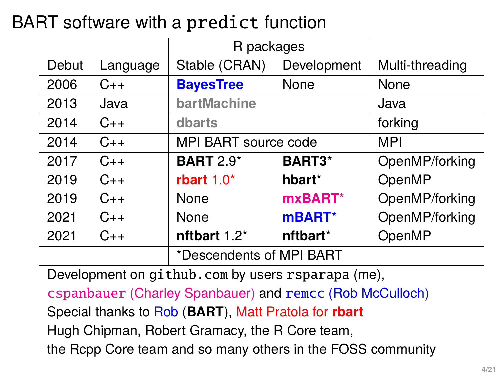# BART software with a predict function

|       |          | R packages               |             |                 |  |
|-------|----------|--------------------------|-------------|-----------------|--|
| Debut | Language | Stable (CRAN)            | Development | Multi-threading |  |
| 2006  | $C_{++}$ | <b>BayesTree</b>         | None        | <b>None</b>     |  |
| 2013  | Java     | bartMachine              |             | Java            |  |
| 2014  | $C_{++}$ | dbarts                   |             | forking         |  |
| 2014  | $C_{++}$ | MPI BART source code     |             | <b>MPI</b>      |  |
| 2017  | $C_{++}$ | <b>BART 2.9*</b>         | BART3*      | OpenMP/forking  |  |
| 2019  | $C_{++}$ | rbart $1.0^*$            | hbart*      | OpenMP          |  |
| 2019  | $C_{++}$ | None                     | mxBART*     | OpenMP/forking  |  |
| 2021  | $C_{++}$ | None                     | mBART*      | OpenMP/forking  |  |
| 2021  | $C_{++}$ | nftbart 1.2*             | nftbart*    | OpenMP          |  |
|       |          | *Descendents of MPI BART |             |                 |  |

Development on <github.com> by users rsparapa (me),

cspanbauer (Charley Spanbauer) and remcc (Rob McCulloch) Special thanks to Rob (**BART**), Matt Pratola for **rbart** Hugh Chipman, Robert Gramacy, the R Core team, the Rcpp Core team and so many others in the FOSS community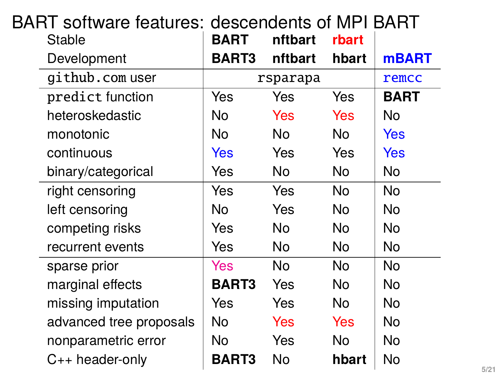| BART software features: descendents of MPI BART<br>Stable | <b>BART</b>  | nftbart  | rbart |              |
|-----------------------------------------------------------|--------------|----------|-------|--------------|
| Development                                               | <b>BART3</b> | nftbart  | hbart | <b>mBART</b> |
| github.com user                                           |              | rsparapa |       | remcc        |
| predict function                                          | Yes          | Yes      | Yes   | <b>BART</b>  |
| heteroskedastic                                           | No.          | Yes      | Yes   | No           |
| monotonic                                                 | No.          | No.      | No.   | Yes          |
| continuous                                                | Yes          | Yes      | Yes   | Yes          |
| binary/categorical                                        | Yes          | No.      | No.   | No           |
| right censoring                                           | Yes          | Yes      | No.   | No           |
| left censoring                                            | No.          | Yes      | No    | No           |
| competing risks                                           | Yes          | No.      | No.   | No           |
| recurrent events                                          | Yes          | No.      | No    | No           |
| sparse prior                                              | Yes          | No.      | No.   | No           |
| marginal effects                                          | <b>BART3</b> | Yes      | No    | No           |
| missing imputation                                        | Yes          | Yes      | No    | No           |
| advanced tree proposals                                   | No           | Yes      | Yes   | No           |
| nonparametric error                                       | No           | Yes      | No    | No           |
| $C_{++}$ header-only                                      | <b>BART3</b> | No       | hbart | No           |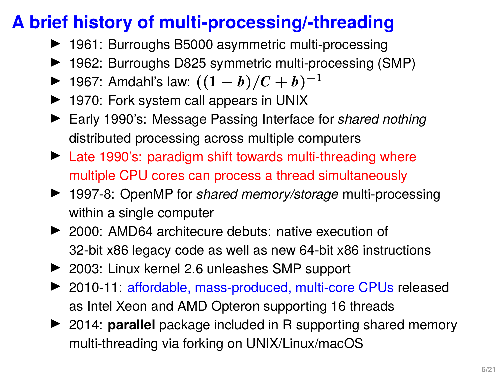# **A brief history of multi-processing/-threading**

- ▶ 1961: Burroughs B5000 asymmetric multi-processing
- ▶ 1962: Burroughs D825 symmetric multi-processing (SMP)
- $\blacktriangleright$  1967: Amdahi's law:  $((1-b)/C + b)^{-1}$
- $\blacktriangleright$  1970: Fork system call appears in UNIX
- ▶ Early 1990's: Message Passing Interface for *shared nothing* distributed processing across multiple computers
- $\blacktriangleright$  Late 1990's: paradigm shift towards multi-threading where multiple CPU cores can process a thread simultaneously
- ▶ 1997-8: OpenMP for *shared memory/storage* multi-processing within a single computer
- ▶ 2000: AMD64 architecure debuts: native execution of 32-bit x86 legacy code as well as new 64-bit x86 instructions
- ▶ 2003: Linux kernel 2.6 unleashes SMP support
- ▶ 2010-11: affordable, mass-produced, multi-core CPUs released as Intel Xeon and AMD Opteron supporting 16 threads
- ▶ 2014: **parallel** package included in R supporting shared memory multi-threading via forking on UNIX/Linux/macOS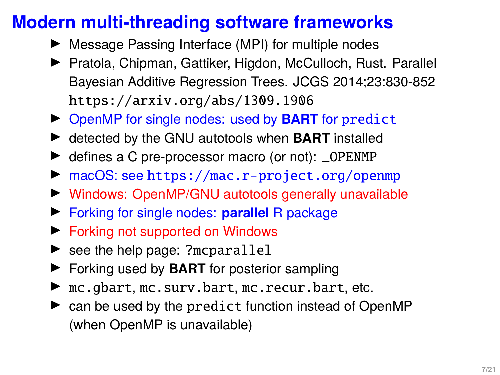#### **Modern multi-threading software frameworks**

- $\blacktriangleright$  Message Passing Interface (MPI) for multiple nodes
- ▶ Pratola, Chipman, Gattiker, Higdon, McCulloch, Rust. Parallel Bayesian Additive Regression Trees. JCGS 2014;23:830-852 <https://arxiv.org/abs/1309.1906>
- **OpenMP** for single nodes: used by **BART** for predict
- ▶ detected by the GNU autotools when **BART** installed
- $\blacktriangleright$  defines a C pre-processor macro (or not): \_OPENMP
- ▶ macOS: see <https://mac.r-project.org/openmp>
- $\triangleright$  Windows: OpenMP/GNU autotools generally unavailable
- **Forking for single nodes: parallel R package**
- $\blacktriangleright$  Forking not supported on Windows
- $\blacktriangleright$  see the help page: ?mcparallel
- ▶ Forking used by **BART** for posterior sampling
- ▶ mc.gbart, mc.surv.bart, mc.recur.bart, etc.
- $\triangleright$  can be used by the predict function instead of OpenMP (when OpenMP is unavailable)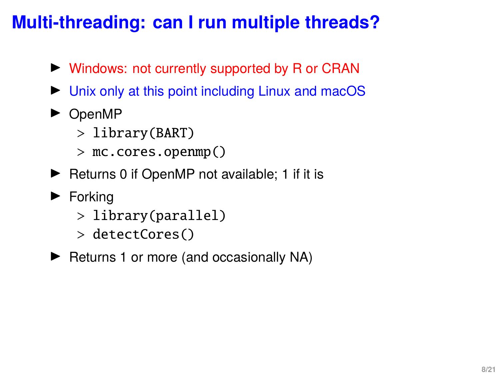# **Multi-threading: can I run multiple threads?**

- $\triangleright$  Windows: not currently supported by R or CRAN
- $\triangleright$  Unix only at this point including Linux and macOS
- $\triangleright$  OpenMP
	- > library(BART)
	- > mc.cores.openmp()
- $\blacktriangleright$  Returns 0 if OpenMP not available; 1 if it is
- $\blacktriangleright$  Forking
	- > library(parallel)
	- > detectCores()
- $\blacktriangleright$  Returns 1 or more (and occasionally NA)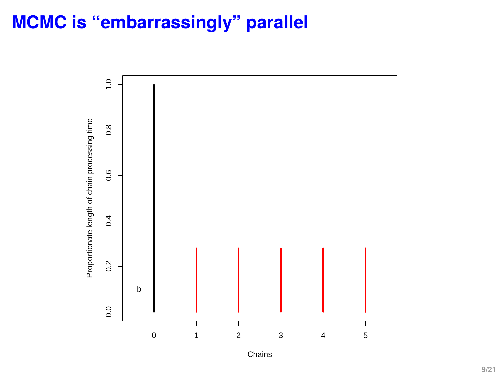## **MCMC is "embarrassingly" parallel**



Chains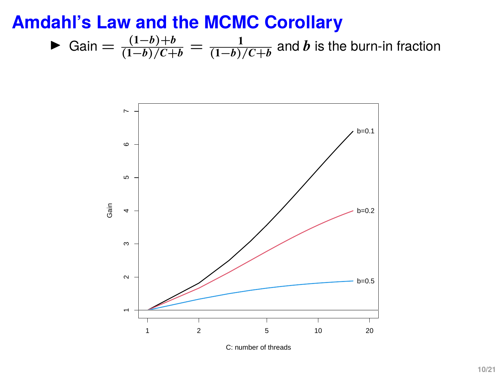#### **Amdahl's Law and the MCMC Corollary**

► Gain = 
$$
\frac{(1-b)+b}{(1-b)/C+b}
$$
 =  $\frac{1}{(1-b)/C+b}$  and *b* is the burn-in fraction



C: number of threads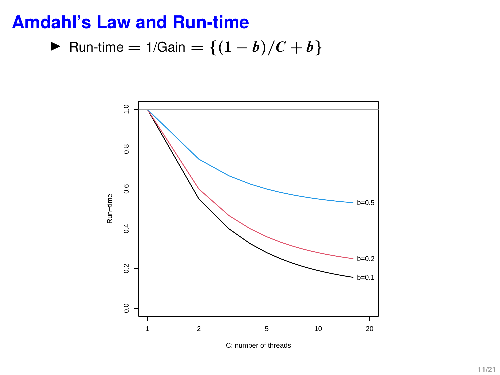#### **Amdahl's Law and Run-time**

$$
\blacktriangleright \text{ Run-time} = 1/\text{Gain} = \{(1-b)/C + b\}
$$



C: number of threads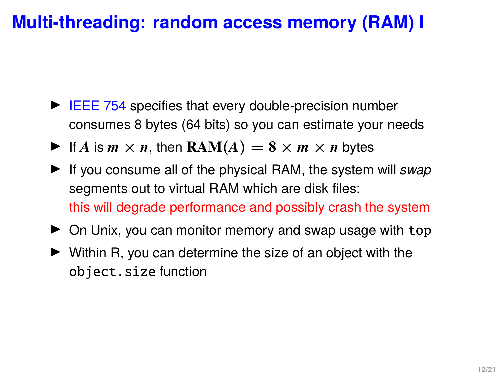## **Multi-threading: random access memory (RAM) I**

- $\blacktriangleright$  IEEE 754 specifies that every double-precision number consumes 8 bytes (64 bits) so you can estimate your needs
- If *A* is  $m \times n$ , then **RAM**(*A*) = 8  $\times m \times n$  bytes
- If you consume all of the physical RAM, the system will *swap* segments out to virtual RAM which are disk files: this will degrade performance and possibly crash the system
- $\triangleright$  On Unix, you can monitor memory and swap usage with top
- $\blacktriangleright$  Within R, you can determine the size of an object with the object.size function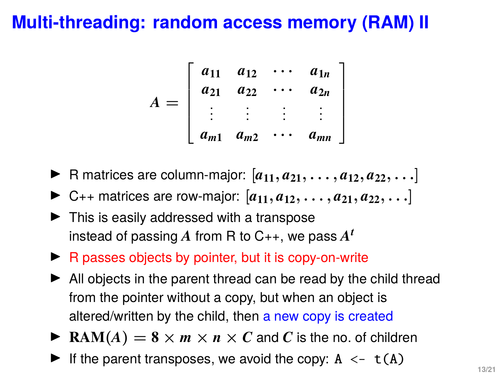### **Multi-threading: random access memory (RAM) II**

$$
A = \left[ \begin{array}{cccc} a_{11} & a_{12} & \cdots & a_{1n} \\ a_{21} & a_{22} & \cdots & a_{2n} \\ \vdots & \vdots & \vdots & \vdots \\ a_{m1} & a_{m2} & \cdots & a_{mn} \end{array} \right]
$$

- ▶ R matrices are column-major:  $[a_{11}, a_{21}, \ldots, a_{12}, a_{22}, \ldots]$
- $\triangleright$  C<sub>++</sub> matrices are row-major:  $[a_{11}, a_{12}, \ldots, a_{21}, a_{22}, \ldots]$
- $\blacktriangleright$  This is easily addressed with a transpose instead of passing  $A$  from R to C++, we pass  $A^t$
- $\triangleright$  R passes objects by pointer, but it is copy-on-write
- $\blacktriangleright$  All objects in the parent thread can be read by the child thread from the pointer without a copy, but when an object is altered/written by the child, then a new copy is created
- **F** RAM $(A) = 8 \times m \times n \times C$  and *C* is the no. of children
- If the parent transposes, we avoid the copy:  $A \leq t(A)$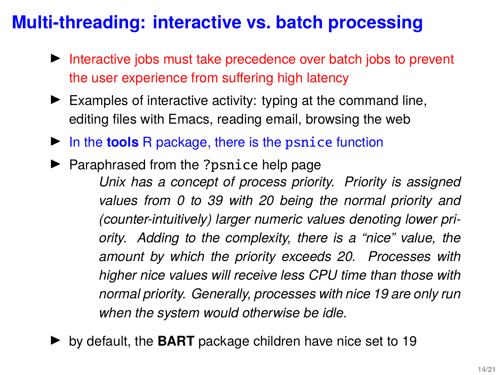# **Multi-threading: interactive vs. batch processing**

- $\triangleright$  Interactive jobs must take precedence over batch jobs to prevent the user experience from suffering high latency
- $\blacktriangleright$  Examples of interactive activity: typing at the command line, editing files with Emacs, reading email, browsing the web
- In the **tools** R package, there is the psnice function
- $\blacktriangleright$  Paraphrased from the ?psnice help page *Unix has a concept of process priority. Priority is assigned values from 0 to 39 with 20 being the normal priority and (counter-intuitively) larger numeric values denoting lower priority. Adding to the complexity, there is a "nice" value, the amount by which the priority exceeds 20. Processes with higher nice values will receive less CPU time than those with normal priority. Generally, processes with nice 19 are only run when the system would otherwise be idle.*
- ▶ by default, the **BART** package children have nice set to 19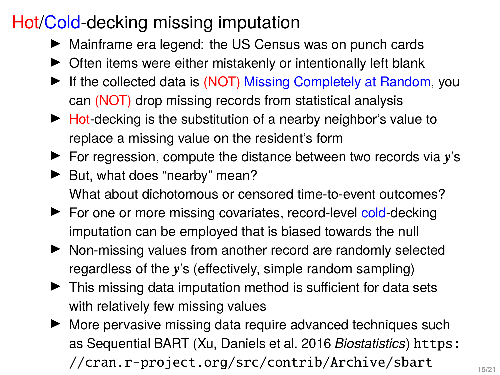# Hot/Cold-decking missing imputation

- $\blacktriangleright$  Mainframe era legend: the US Census was on punch cards
- $\triangleright$  Often items were either mistakenly or intentionally left blank
- $\blacktriangleright$  If the collected data is (NOT) Missing Completely at Random, you can (NOT) drop missing records from statistical analysis
- $\blacktriangleright$  Hot-decking is the substitution of a nearby neighbor's value to replace a missing value on the resident's form
- ► For regression, compute the distance between two records via *y*'s
- $\blacktriangleright$  But, what does "nearby" mean? What about dichotomous or censored time-to-event outcomes?
- ► For one or more missing covariates, record-level cold-decking imputation can be employed that is biased towards the null
- $\blacktriangleright$  Non-missing values from another record are randomly selected regardless of the *y*'s (effectively, simple random sampling)
- $\blacktriangleright$  This missing data imputation method is sufficient for data sets with relatively few missing values
- $\blacktriangleright$  More pervasive missing data require advanced techniques such as Sequential BART (Xu, Daniels et al. 2016 *Biostatistics*) [https:](https://cran.r-project.org/src/contrib/Archive/sbart) [//cran.r-project.org/src/contrib/Archive/sbart](https://cran.r-project.org/src/contrib/Archive/sbart)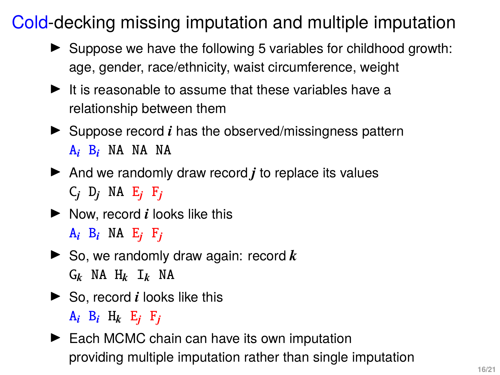Cold-decking missing imputation and multiple imputation

- $\triangleright$  Suppose we have the following 5 variables for childhood growth: age, gender, race/ethnicity, waist circumference, weight
- $\blacktriangleright$  It is reasonable to assume that these variables have a relationship between them
- $\blacktriangleright$  Suppose record *i* has the observed/missingness pattern A*<sup>i</sup>* B*<sup>i</sup>* NA NA NA
- $\blacktriangleright$  And we randomly draw record *j* to replace its values C*<sup>j</sup>* D*<sup>j</sup>* NA E*<sup>j</sup>* F*<sup>j</sup>*
- $\blacktriangleright$  Now, record *i* looks like this  $A_i$   $B_i$   $NA$   $E_j$   $F_j$
- $\triangleright$  So, we randomly draw again: record  $k$ G*<sup>k</sup>* NA H*<sup>k</sup>* I*<sup>k</sup>* NA
- $\triangleright$  So, record *i* looks like this  $A_i$   $B_i$   $H_k$   $E_j$   $F_j$
- $\blacktriangleright$  Each MCMC chain can have its own imputation providing multiple imputation rather than single imputation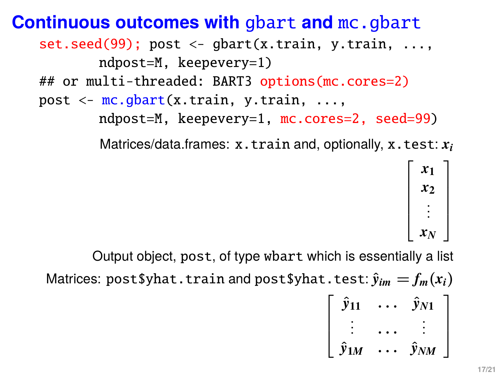#### **Continuous outcomes with** gbart **and** mc.gbart

 $set.seed(99)$ ; post <-  $gbart(x.train, y.train, ...$ ndpost=M, keepevery=1) ## or multi-threaded: BART3 options(mc.cores=2) post  $\leq$  mc.gbart(x.train, y.train, ..., ndpost=M, keepevery=1, mc.cores=2, seed=99)

Matrices/data.frames: x.train and, optionally, x.test: *x<sup>i</sup>*

$$
\left[\begin{array}{c} x_1 \\ x_2 \\ \vdots \\ x_N \end{array}\right]
$$

Output object, post, of type wbart which is essentially a list Matrices: post\$yhat.train and post\$yhat.test:  $\hat{v}_{im} = f_m(x_i)$  $\sqrt{ }$  $\parallel$  $\hat{y}_{11}$  ...  $\hat{y}_{N1}$ . . . . . . . . .  $\hat{y}_{1M}$  ...  $\hat{y}_{NM}$ 1  $\overline{\phantom{a}}$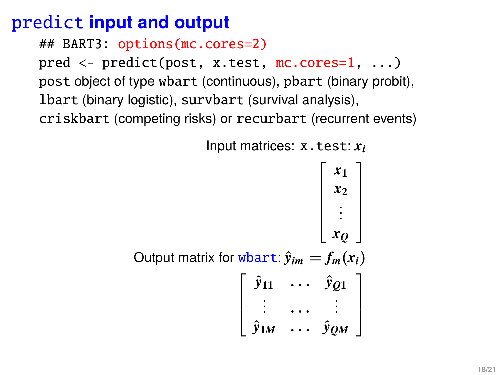# predict **input and output**

## BART3: options(mc.cores=2) pred <- predict(post, x.test, mc.cores=1, ...) post object of type wbart (continuous), pbart (binary probit), lbart (binary logistic), survbart (survival analysis), criskbart (competing risks) or recurbart (recurrent events)

> Input matrices: x.test: *x<sup>i</sup>*  $\sqrt{ }$  $\begin{array}{c} \begin{array}{c} \begin{array}{c} \end{array} \\ \begin{array}{c} \end{array} \end{array} \end{array}$ *x***1** *x***2** . . . *xQ* 1  $\begin{array}{c} \n\downarrow \\
> \downarrow \\
> \downarrow\n\end{array}$ Output matrix for whart:  $\hat{v}_{im} = f_m(x_i)$  $\sqrt{ }$  $\vert$  $\hat{y}_{11}$  ...  $\hat{y}_{Q1}$ . . . . . . . . .  $\hat{y}_{1M}$  ...  $\hat{y}_{QM}$ 1  $\vert$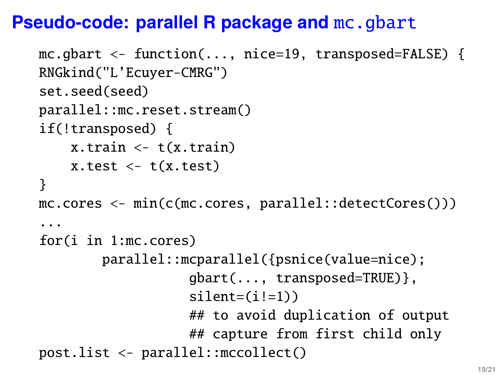#### **Pseudo-code: parallel R package and mc.gbart**

```
mc.gbart <- function(..., nice=19, transposed=FALSE) {
RNGkind("L'Ecuyer-CMRG")
set.seed(seed)
parallel::mc.reset.stream()
if(!transposed) {
    x.train \leftarrow t(x.train)x.test < -t(x.test)}
mc.cores <- min(c(mc.cores, parallel::detectCores()))
...
for(i in 1:mc.cores)
        parallel::mcparallel({psnice(value=nice);
                   gbart(..., transposed=TRUE)},
                   silent=(i!=1))## to avoid duplication of output
                   ## capture from first child only
post.list <- parallel::mccollect()
```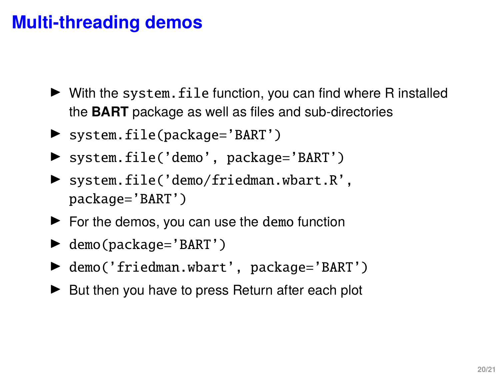#### **Multi-threading demos**

- $\blacktriangleright$  With the system. file function, you can find where R installed the **BART** package as well as files and sub-directories
- $\blacktriangleright$  system.file(package='BART')
- ▶ system.file('demo', package='BART')
- ▶ system.file('demo/friedman.wbart.R', package='BART')
- $\blacktriangleright$  For the demos, you can use the demo function
- $\blacktriangleright$  demo(package='BART')
- ▶ demo('friedman.wbart', package='BART')
- $\blacktriangleright$  But then you have to press Return after each plot